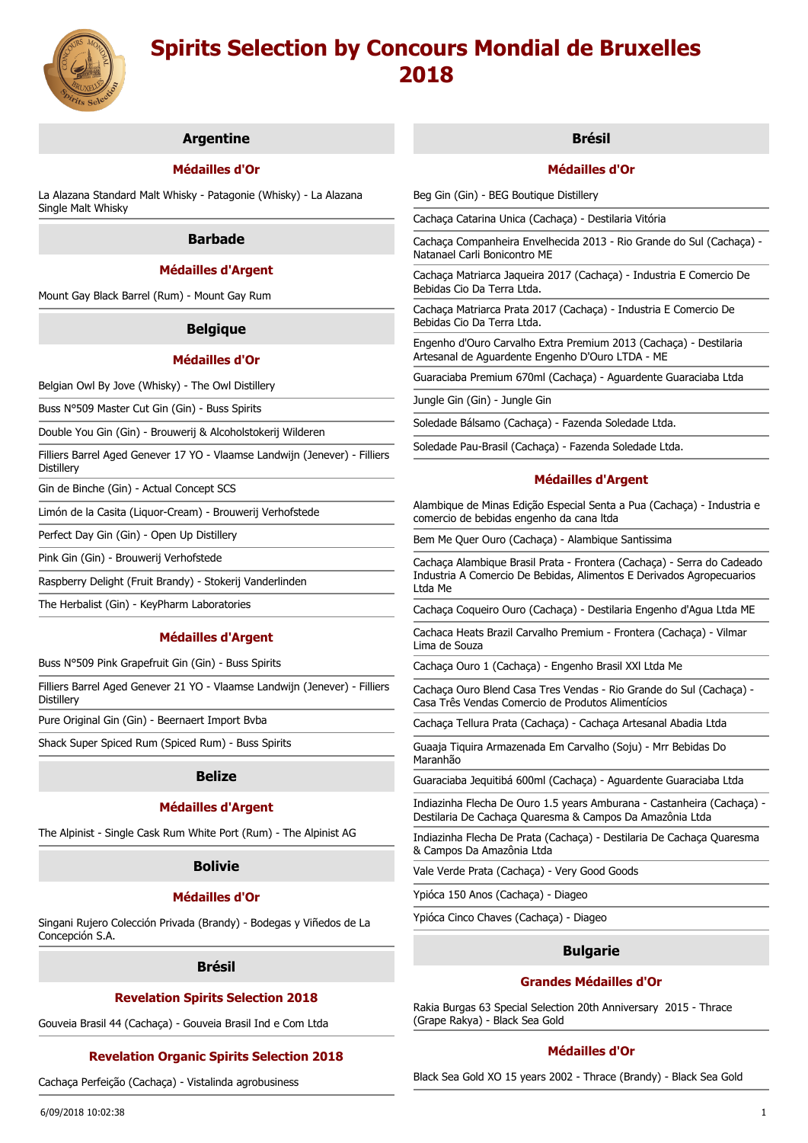

## **Argentine**

## **Médailles d'Or**

La Alazana Standard Malt Whisky - Patagonie (Whisky) - La Alazana Single Malt Whisky

#### **Barbade**

### **Médailles d'Argent**

Mount Gay Black Barrel (Rum) - Mount Gay Rum

### **Belgique**

## **Médailles d'Or**

Belgian Owl By Jove (Whisky) - The Owl Distillery

Buss N°509 Master Cut Gin (Gin) - Buss Spirits

Double You Gin (Gin) - Brouwerij & Alcoholstokerij Wilderen

Filliers Barrel Aged Genever 17 YO - Vlaamse Landwijn (Jenever) - Filliers **Distillerv** 

Gin de Binche (Gin) - Actual Concept SCS

Limón de la Casita (Liquor-Cream) - Brouwerij Verhofstede

Perfect Day Gin (Gin) - Open Up Distillery

Pink Gin (Gin) - Brouwerij Verhofstede

Raspberry Delight (Fruit Brandy) - Stokerij Vanderlinden

The Herbalist (Gin) - KeyPharm Laboratories

#### **Médailles d'Argent**

Buss N°509 Pink Grapefruit Gin (Gin) - Buss Spirits

Filliers Barrel Aged Genever 21 YO - Vlaamse Landwijn (Jenever) - Filliers Distillery

Pure Original Gin (Gin) - Beernaert Import Bvba

Shack Super Spiced Rum (Spiced Rum) - Buss Spirits

#### **Belize**

## **Médailles d'Argent**

The Alpinist - Single Cask Rum White Port (Rum) - The Alpinist AG

## **Bolivie**

### **Médailles d'Or**

Singani Rujero Colección Privada (Brandy) - Bodegas y Viñedos de La Concepción S.A.

#### **Brésil**

## **Revelation Spirits Selection 2018**

Gouveia Brasil 44 (Cachaça) - Gouveia Brasil Ind e Com Ltda

## **Revelation Organic Spirits Selection 2018**

Cachaça Perfeição (Cachaça) - Vistalinda agrobusiness

### **Brésil**

## **Médailles d'Or**

Beg Gin (Gin) - BEG Boutique Distillery

Cachaça Catarina Unica (Cachaça) - Destilaria Vitória

Cachaça Companheira Envelhecida 2013 - Rio Grande do Sul (Cachaça) - Natanael Carli Bonicontro ME

Cachaça Matriarca Jaqueira 2017 (Cachaça) - Industria E Comercio De Bebidas Cio Da Terra Ltda.

Cachaça Matriarca Prata 2017 (Cachaça) - Industria E Comercio De Bebidas Cio Da Terra Ltda.

Engenho d'Ouro Carvalho Extra Premium 2013 (Cachaça) - Destilaria Artesanal de Aguardente Engenho D'Ouro LTDA - ME

Guaraciaba Premium 670ml (Cachaça) - Aguardente Guaraciaba Ltda

Jungle Gin (Gin) - Jungle Gin

Soledade Bálsamo (Cachaça) - Fazenda Soledade Ltda.

Soledade Pau-Brasil (Cachaça) - Fazenda Soledade Ltda.

#### **Médailles d'Argent**

Alambique de Minas Edição Especial Senta a Pua (Cachaça) - Industria e comercio de bebidas engenho da cana ltda

Bem Me Quer Ouro (Cachaça) - Alambique Santissima

Cachaça Alambique Brasil Prata - Frontera (Cachaça) - Serra do Cadeado Industria A Comercio De Bebidas, Alimentos E Derivados Agropecuarios Ltda Me

Cachaça Coqueiro Ouro (Cachaça) - Destilaria Engenho d'Agua Ltda ME

Cachaca Heats Brazil Carvalho Premium - Frontera (Cachaça) - Vilmar Lima de Souza

Cachaça Ouro 1 (Cachaça) - Engenho Brasil XXl Ltda Me

Cachaça Ouro Blend Casa Tres Vendas - Rio Grande do Sul (Cachaça) - Casa Três Vendas Comercio de Produtos Alimentícios

Cachaça Tellura Prata (Cachaça) - Cachaça Artesanal Abadia Ltda

Guaaja Tiquira Armazenada Em Carvalho (Soju) - Mrr Bebidas Do Maranhão

Guaraciaba Jequitibá 600ml (Cachaça) - Aguardente Guaraciaba Ltda

Indiazinha Flecha De Ouro 1.5 years Amburana - Castanheira (Cachaça) - Destilaria De Cachaça Quaresma & Campos Da Amazônia Ltda

Indiazinha Flecha De Prata (Cachaça) - Destilaria De Cachaça Quaresma & Campos Da Amazônia Ltda

Vale Verde Prata (Cachaça) - Very Good Goods

Ypióca 150 Anos (Cachaça) - Diageo

Ypióca Cinco Chaves (Cachaça) - Diageo

## **Bulgarie**

## **Grandes Médailles d'Or**

Rakia Burgas 63 Special Selection 20th Anniversary 2015 - Thrace (Grape Rakya) - Black Sea Gold

### **Médailles d'Or**

Black Sea Gold XO 15 years 2002 - Thrace (Brandy) - Black Sea Gold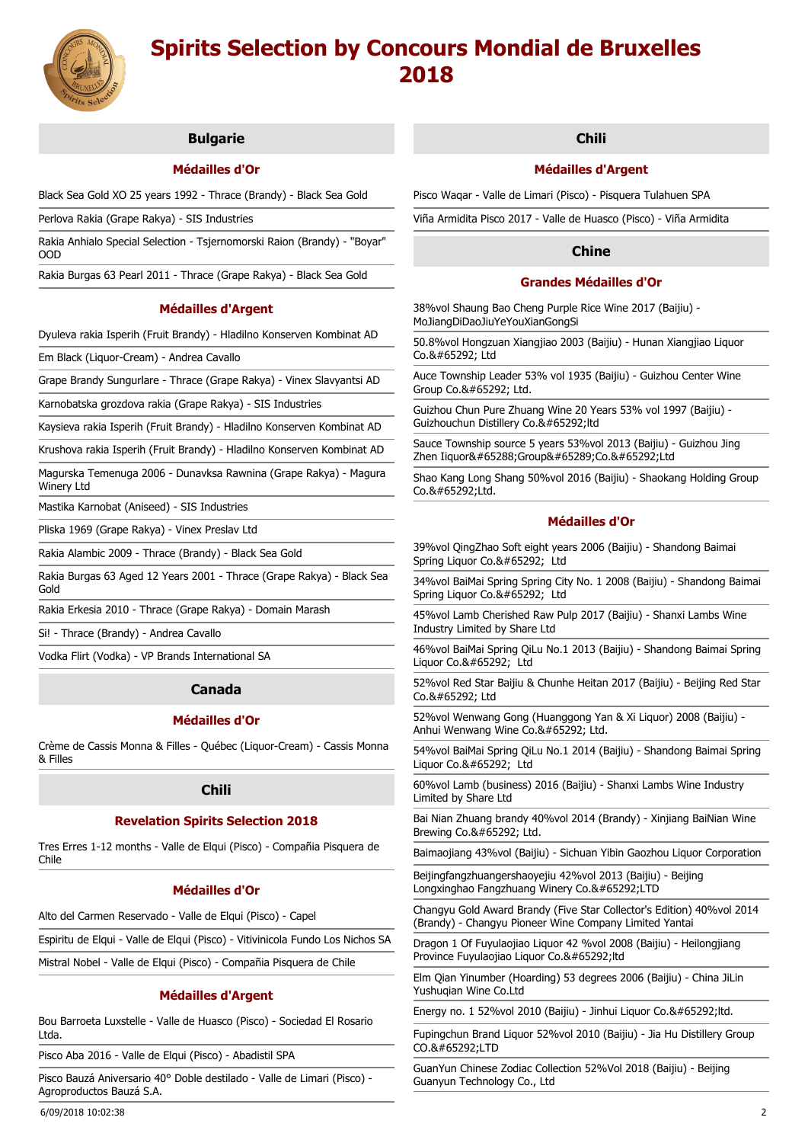

## **Bulgarie**

# **Médailles d'Or**

Black Sea Gold XO 25 years 1992 - Thrace (Brandy) - Black Sea Gold

Perlova Rakia (Grape Rakya) - SIS Industries

Rakia Anhialo Special Selection - Tsjernomorski Raion (Brandy) - "Boyar" OOD

Rakia Burgas 63 Pearl 2011 - Thrace (Grape Rakya) - Black Sea Gold

## **Médailles d'Argent**

Dyuleva rakia Isperih (Fruit Brandy) - Hladilno Konserven Kombinat AD

Em Black (Liquor-Cream) - Andrea Cavallo

Grape Brandy Sungurlare - Thrace (Grape Rakya) - Vinex Slavyantsi AD

Karnobatska grozdova rakia (Grape Rakya) - SIS Industries

Kaysieva rakia Isperih (Fruit Brandy) - Hladilno Konserven Kombinat AD

Krushova rakia Isperih (Fruit Brandy) - Hladilno Konserven Kombinat AD

Magurska Temenuga 2006 - Dunavksa Rawnina (Grape Rakya) - Magura Winery Ltd

Mastika Karnobat (Aniseed) - SIS Industries

Pliska 1969 (Grape Rakya) - Vinex Preslav Ltd

Rakia Alambic 2009 - Thrace (Brandy) - Black Sea Gold

Rakia Burgas 63 Aged 12 Years 2001 - Thrace (Grape Rakya) - Black Sea Gold

Rakia Erkesia 2010 - Thrace (Grape Rakya) - Domain Marash

Si! - Thrace (Brandy) - Andrea Cavallo

Vodka Flirt (Vodka) - VP Brands International SA

## **Canada**

## **Médailles d'Or**

Crème de Cassis Monna & Filles - Québec (Liquor-Cream) - Cassis Monna & Filles

## **Chili**

## **Revelation Spirits Selection 2018**

Tres Erres 1-12 months - Valle de Elqui (Pisco) - Compañia Pisquera de Chile

## **Médailles d'Or**

Alto del Carmen Reservado - Valle de Elqui (Pisco) - Capel

Espiritu de Elqui - Valle de Elqui (Pisco) - Vitivinicola Fundo Los Nichos SA

Mistral Nobel - Valle de Elqui (Pisco) - Compañia Pisquera de Chile

## **Médailles d'Argent**

Bou Barroeta Luxstelle - Valle de Huasco (Pisco) - Sociedad El Rosario Ltda.

Pisco Aba 2016 - Valle de Elqui (Pisco) - Abadistil SPA

Pisco Bauzá Aniversario 40° Doble destilado - Valle de Limari (Pisco) - Agroproductos Bauzá S.A.

## **Chili**

## **Médailles d'Argent**

Pisco Waqar - Valle de Limari (Pisco) - Pisquera Tulahuen SPA

Viña Armidita Pisco 2017 - Valle de Huasco (Pisco) - Viña Armidita

# **Chine**

## **Grandes Médailles d'Or**

38%vol Shaung Bao Cheng Purple Rice Wine 2017 (Baijiu) - MoJiangDiDaoJiuYeYouXianGongSi

50.8%vol Hongzuan Xiangjiao 2003 (Baijiu) - Hunan Xiangjiao Liquor  $C_0$  & #65292; Ltd

Auce Township Leader 53% vol 1935 (Baijiu) - Guizhou Center Wine Group Co.&#65292: Ltd.

Guizhou Chun Pure Zhuang Wine 20 Years 53% vol 1997 (Baijiu) - Guizhouchun Distillery Co.,ltd

Sauce Township source 5 years 53%vol 2013 (Baijiu) - Guizhou Jing Zhen Iiquor(Group)Co.,Ltd

Shao Kang Long Shang 50%vol 2016 (Baijiu) - Shaokang Holding Group Co.,Ltd.

## **Médailles d'Or**

39%vol QingZhao Soft eight years 2006 (Baijiu) - Shandong Baimai Spring Liquor Co., Ltd

34%vol BaiMai Spring Spring City No. 1 2008 (Baijiu) - Shandong Baimai Spring Liquor Co., Ltd

45%vol Lamb Cherished Raw Pulp 2017 (Baijiu) - Shanxi Lambs Wine Industry Limited by Share Ltd

46%vol BaiMai Spring QiLu No.1 2013 (Baijiu) - Shandong Baimai Spring Liquor Co., Ltd

52%vol Red Star Baijiu & Chunhe Heitan 2017 (Baijiu) - Beijing Red Star Co., Ltd

52%vol Wenwang Gong (Huanggong Yan & Xi Liquor) 2008 (Baijiu) - Anhui Wenwang Wine Co., Ltd.

54%vol BaiMai Spring QiLu No.1 2014 (Baijiu) - Shandong Baimai Spring Liquor Co., Ltd

60%vol Lamb (business) 2016 (Baijiu) - Shanxi Lambs Wine Industry Limited by Share Ltd

Bai Nian Zhuang brandy 40%vol 2014 (Brandy) - Xinjiang BaiNian Wine Brewing Co., Ltd.

Baimaojiang 43%vol (Baijiu) - Sichuan Yibin Gaozhou Liquor Corporation

Beijingfangzhuangershaoyejiu 42%vol 2013 (Baijiu) - Beijing Longxinghao Fangzhuang Winery Co.&#65292:LTD

Changyu Gold Award Brandy (Five Star Collector's Edition) 40%vol 2014 (Brandy) - Changyu Pioneer Wine Company Limited Yantai

Dragon 1 Of Fuyulaojiao Liquor 42 %vol 2008 (Baijiu) - Heilongjiang Province Fuyulaojiao Liquor Co.,ltd

Elm Qian Yinumber (Hoarding) 53 degrees 2006 (Baijiu) - China JiLin Yushuqian Wine Co.Ltd

Energy no. 1 52% vol 2010 (Baijiu) - Jinhui Liquor Co.& #65292; ltd.

Fupingchun Brand Liquor 52%vol 2010 (Baijiu) - Jia Hu Distillery Group CO.&#65292:LTD

GuanYun Chinese Zodiac Collection 52%Vol 2018 (Baijiu) - Beijing Guanyun Technology Co., Ltd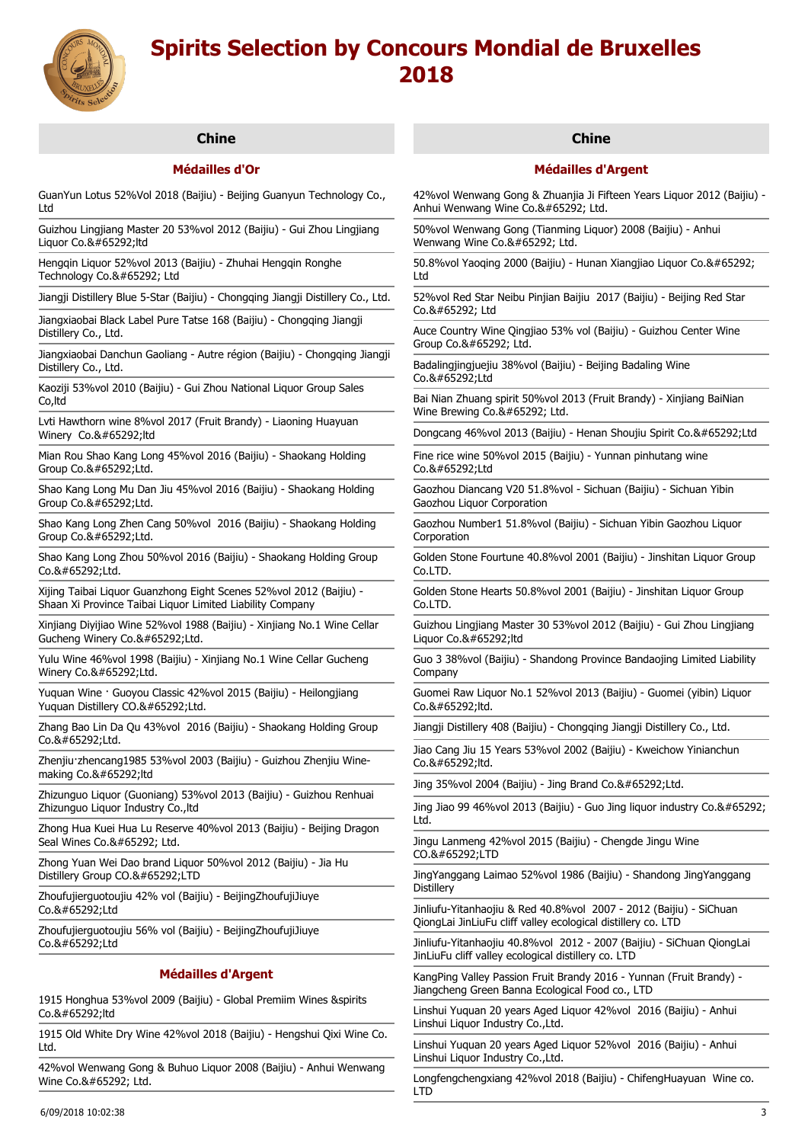

# **Chine**

# **Médailles d'Or**

GuanYun Lotus 52%Vol 2018 (Baijiu) - Beijing Guanyun Technology Co., Ltd

Guizhou Lingjiang Master 20 53%vol 2012 (Baijiu) - Gui Zhou Lingjiang Liquor Co.,ltd

Hengqin Liquor 52%vol 2013 (Baijiu) - Zhuhai Hengqin Ronghe Technology Co., Ltd

Jiangji Distillery Blue 5-Star (Baijiu) - Chongqing Jiangji Distillery Co., Ltd.

Jiangxiaobai Black Label Pure Tatse 168 (Baijiu) - Chongqing Jiangji Distillery Co., Ltd.

Jiangxiaobai Danchun Gaoliang - Autre région (Baijiu) - Chongqing Jiangji Distillery Co., Ltd.

Kaoziji 53%vol 2010 (Baijiu) - Gui Zhou National Liquor Group Sales Co,ltd

Lvti Hawthorn wine 8%vol 2017 (Fruit Brandy) - Liaoning Huayuan Winery Co.&#65292:ltd

Mian Rou Shao Kang Long 45%vol 2016 (Baijiu) - Shaokang Holding Group Co.,Ltd.

Shao Kang Long Mu Dan Jiu 45%vol 2016 (Baijiu) - Shaokang Holding Group Co.,Ltd.

Shao Kang Long Zhen Cang 50%vol 2016 (Baijiu) - Shaokang Holding Group Co.,Ltd.

Shao Kang Long Zhou 50%vol 2016 (Baijiu) - Shaokang Holding Group Co.,Ltd.

Xijing Taibai Liquor Guanzhong Eight Scenes 52%vol 2012 (Baijiu) - Shaan Xi Province Taibai Liquor Limited Liability Company

Xinjiang Diyijiao Wine 52%vol 1988 (Baijiu) - Xinjiang No.1 Wine Cellar Gucheng Winery Co.,Ltd.

Yulu Wine 46%vol 1998 (Baijiu) - Xinjiang No.1 Wine Cellar Gucheng Winery Co.,Ltd.

Yuquan Wine · Guoyou Classic 42%vol 2015 (Baijiu) - Heilongjiang Yuquan Distillery CO.,Ltd.

Zhang Bao Lin Da Qu 43%vol 2016 (Baijiu) - Shaokang Holding Group  $Co.8#65292:$ Ltd.

Zhenjiu·zhencang1985 53%vol 2003 (Baijiu) - Guizhou Zhenjiu Winemaking Co.,ltd

Zhizunguo Liquor (Guoniang) 53%vol 2013 (Baijiu) - Guizhou Renhuai Zhizunguo Liquor Industry Co.,ltd

Zhong Hua Kuei Hua Lu Reserve 40%vol 2013 (Baijiu) - Beijing Dragon Seal Wines Co., Ltd.

Zhong Yuan Wei Dao brand Liquor 50%vol 2012 (Baijiu) - Jia Hu Distillery Group CO.,LTD

Zhoufujierguotoujiu 42% vol (Baijiu) - BeijingZhoufujiJiuye Co.,Ltd

Zhoufujierguotoujiu 56% vol (Baijiu) - BeijingZhoufujiJiuye Co.,Ltd

## **Médailles d'Argent**

1915 Honghua 53%vol 2009 (Baijiu) - Global Premiim Wines &spirits Co.,ltd

1915 Old White Dry Wine 42%vol 2018 (Baijiu) - Hengshui Qixi Wine Co. Ltd.

42%vol Wenwang Gong & Buhuo Liquor 2008 (Baijiu) - Anhui Wenwang Wine Co., Ltd.

## **Chine**

## **Médailles d'Argent**

42%vol Wenwang Gong & Zhuanjia Ji Fifteen Years Liquor 2012 (Baijiu) - Anhui Wenwang Wine Co., Ltd.

50%vol Wenwang Gong (Tianming Liquor) 2008 (Baijiu) - Anhui Wenwang Wine Co., Ltd.

50.8%vol Yaoqing 2000 (Baijiu) - Hunan Xiangjiao Liquor Co., Ltd

52%vol Red Star Neibu Pinjian Baijiu 2017 (Baijiu) - Beijing Red Star  $C_0$  & #65292; Ltd

Auce Country Wine Qingjiao 53% vol (Baijiu) - Guizhou Center Wine Group Co., Ltd.

Badalingjingjuejiu 38%vol (Baijiu) - Beijing Badaling Wine  $Co.8#65292:$ Ltd

Bai Nian Zhuang spirit 50%vol 2013 (Fruit Brandy) - Xinjiang BaiNian Wine Brewing Co., Ltd.

Dongcang 46%vol 2013 (Baijiu) - Henan Shoujiu Spirit Co.,Ltd

Fine rice wine 50%vol 2015 (Baijiu) - Yunnan pinhutang wine Co.,Ltd

Gaozhou Diancang V20 51.8%vol - Sichuan (Baijiu) - Sichuan Yibin Gaozhou Liquor Corporation

Gaozhou Number1 51.8%vol (Baijiu) - Sichuan Yibin Gaozhou Liquor Corporation

Golden Stone Fourtune 40.8%vol 2001 (Baijiu) - Jinshitan Liquor Group Co.LTD.

Golden Stone Hearts 50.8%vol 2001 (Baijiu) - Jinshitan Liquor Group Co.LTD.

Guizhou Lingjiang Master 30 53%vol 2012 (Baijiu) - Gui Zhou Lingjiang  $Lianor$  Co. $，$ : Itd

Guo 3 38%vol (Baijiu) - Shandong Province Bandaojing Limited Liability Company

Guomei Raw Liquor No.1 52%vol 2013 (Baijiu) - Guomei (yibin) Liquor  $Co.8#65292:$ Itd.

Jiangji Distillery 408 (Baijiu) - Chongqing Jiangji Distillery Co., Ltd.

Jiao Cang Jiu 15 Years 53%vol 2002 (Baijiu) - Kweichow Yinianchun Co.,ltd.

Jing 35%vol 2004 (Baijiu) - Jing Brand Co. $，$ :Ltd.

Jing Jiao 99 46%vol 2013 (Baijiu) - Guo Jing liquor industry Co., Ltd.

Jingu Lanmeng 42%vol 2015 (Baijiu) - Chengde Jingu Wine CO.,LTD

JingYanggang Laimao 52%vol 1986 (Baijiu) - Shandong JingYanggang **Distillerv** 

Jinliufu-Yitanhaojiu & Red 40.8%vol 2007 - 2012 (Baijiu) - SiChuan QiongLai JinLiuFu cliff valley ecological distillery co. LTD

Jinliufu-Yitanhaojiu 40.8%vol 2012 - 2007 (Baijiu) - SiChuan QiongLai JinLiuFu cliff valley ecological distillery co. LTD

KangPing Valley Passion Fruit Brandy 2016 - Yunnan (Fruit Brandy) - Jiangcheng Green Banna Ecological Food co., LTD

Linshui Yuquan 20 years Aged Liquor 42%vol 2016 (Baijiu) - Anhui Linshui Liquor Industry Co.,Ltd.

Linshui Yuquan 20 years Aged Liquor 52%vol 2016 (Baijiu) - Anhui Linshui Liquor Industry Co.,Ltd.

Longfengchengxiang 42%vol 2018 (Baijiu) - ChifengHuayuan Wine co. LTD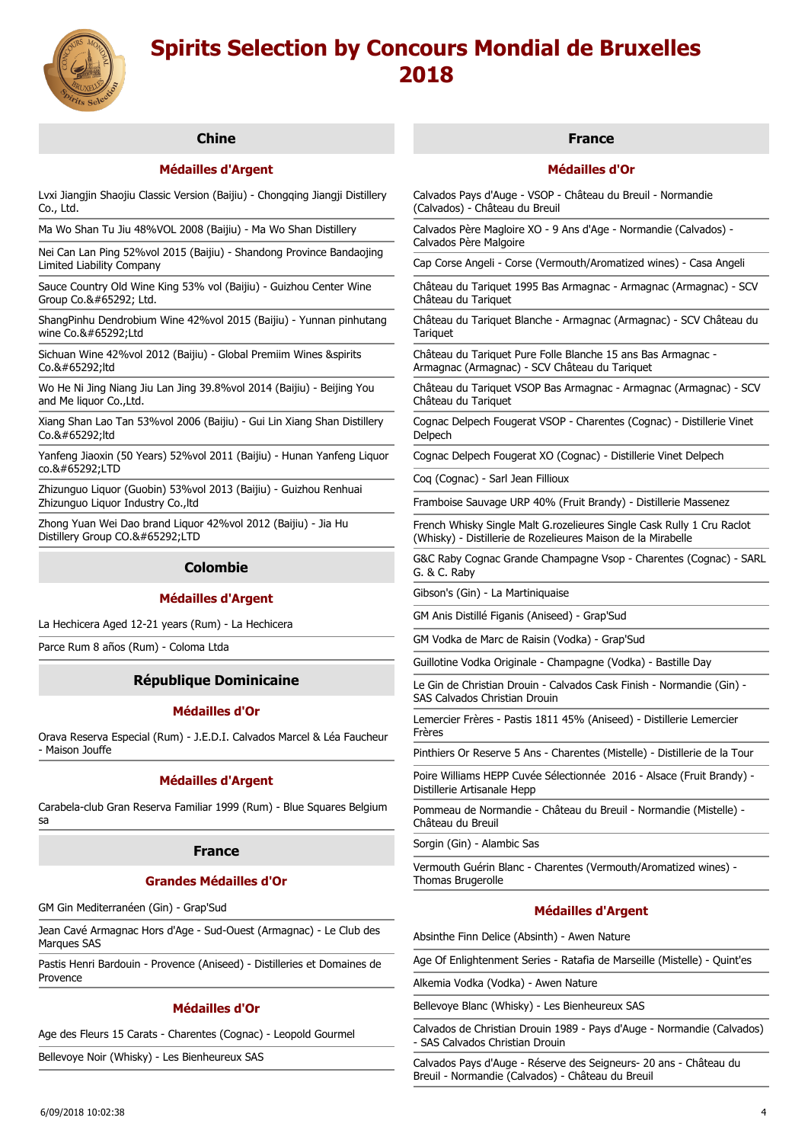

# **Chine**

# **Médailles d'Argent**

Lvxi Jiangjin Shaojiu Classic Version (Baijiu) - Chongqing Jiangji Distillery Co., Ltd.

Ma Wo Shan Tu Jiu 48%VOL 2008 (Baijiu) - Ma Wo Shan Distillery

Nei Can Lan Ping 52%vol 2015 (Baijiu) - Shandong Province Bandaojing Limited Liability Company

Sauce Country Old Wine King 53% vol (Baijiu) - Guizhou Center Wine Group Co., Ltd.

ShangPinhu Dendrobium Wine 42%vol 2015 (Baijiu) - Yunnan pinhutang wine Co.&#65292:1td

Sichuan Wine 42%vol 2012 (Baijiu) - Global Premiim Wines &spirits  $C_0$  & #65292 ltd

Wo He Ni Jing Niang Jiu Lan Jing 39.8%vol 2014 (Baijiu) - Beijing You and Me liquor Co., Ltd.

Xiang Shan Lao Tan 53%vol 2006 (Baijiu) - Gui Lin Xiang Shan Distillery Co.&#65292:ltd

Yanfeng Jiaoxin (50 Years) 52%vol 2011 (Baijiu) - Hunan Yanfeng Liquor co.,LTD

Zhizunguo Liquor (Guobin) 53%vol 2013 (Baijiu) - Guizhou Renhuai Zhizunguo Liquor Industry Co.,ltd

Zhong Yuan Wei Dao brand Liquor 42%vol 2012 (Baijiu) - Jia Hu Distillery Group CO.,LTD

## **Colombie**

## **Médailles d'Argent**

La Hechicera Aged 12-21 years (Rum) - La Hechicera

Parce Rum 8 años (Rum) - Coloma Ltda

# **République Dominicaine**

## **Médailles d'Or**

Orava Reserva Especial (Rum) - J.E.D.I. Calvados Marcel & Léa Faucheur - Maison Jouffe

#### **Médailles d'Argent**

Carabela-club Gran Reserva Familiar 1999 (Rum) - Blue Squares Belgium sa

#### **France**

#### **Grandes Médailles d'Or**

GM Gin Mediterranéen (Gin) - Grap'Sud

Jean Cavé Armagnac Hors d'Age - Sud-Ouest (Armagnac) - Le Club des Marques SAS

Pastis Henri Bardouin - Provence (Aniseed) - Distilleries et Domaines de Provence

## **Médailles d'Or**

Age des Fleurs 15 Carats - Charentes (Cognac) - Leopold Gourmel

Bellevoye Noir (Whisky) - Les Bienheureux SAS

## **France**

## **Médailles d'Or**

Calvados Pays d'Auge - VSOP - Château du Breuil - Normandie (Calvados) - Château du Breuil

Calvados Père Magloire XO - 9 Ans d'Age - Normandie (Calvados) - Calvados Père Malgoire

Cap Corse Angeli - Corse (Vermouth/Aromatized wines) - Casa Angeli

Château du Tariquet 1995 Bas Armagnac - Armagnac (Armagnac) - SCV Château du Tariquet

Château du Tariquet Blanche - Armagnac (Armagnac) - SCV Château du **Tariquet** 

Château du Tariquet Pure Folle Blanche 15 ans Bas Armagnac - Armagnac (Armagnac) - SCV Château du Tariquet

Château du Tariquet VSOP Bas Armagnac - Armagnac (Armagnac) - SCV Château du Tariquet

Cognac Delpech Fougerat VSOP - Charentes (Cognac) - Distillerie Vinet Delpech

Cognac Delpech Fougerat XO (Cognac) - Distillerie Vinet Delpech

Coq (Cognac) - Sarl Jean Fillioux

Framboise Sauvage URP 40% (Fruit Brandy) - Distillerie Massenez

French Whisky Single Malt G.rozelieures Single Cask Rully 1 Cru Raclot (Whisky) - Distillerie de Rozelieures Maison de la Mirabelle

G&C Raby Cognac Grande Champagne Vsop - Charentes (Cognac) - SARL G. & C. Raby

Gibson's (Gin) - La Martiniquaise

GM Anis Distillé Figanis (Aniseed) - Grap'Sud

GM Vodka de Marc de Raisin (Vodka) - Grap'Sud

Guillotine Vodka Originale - Champagne (Vodka) - Bastille Day

Le Gin de Christian Drouin - Calvados Cask Finish - Normandie (Gin) - SAS Calvados Christian Drouin

Lemercier Frères - Pastis 1811 45% (Aniseed) - Distillerie Lemercier Frères

Pinthiers Or Reserve 5 Ans - Charentes (Mistelle) - Distillerie de la Tour

Poire Williams HEPP Cuvée Sélectionnée 2016 - Alsace (Fruit Brandy) - Distillerie Artisanale Hepp

Pommeau de Normandie - Château du Breuil - Normandie (Mistelle) - Château du Breuil

Sorgin (Gin) - Alambic Sas

Vermouth Guérin Blanc - Charentes (Vermouth/Aromatized wines) - Thomas Brugerolle

# **Médailles d'Argent**

Absinthe Finn Delice (Absinth) - Awen Nature

Age Of Enlightenment Series - Ratafia de Marseille (Mistelle) - Quint'es

Alkemia Vodka (Vodka) - Awen Nature

Bellevoye Blanc (Whisky) - Les Bienheureux SAS

Calvados de Christian Drouin 1989 - Pays d'Auge - Normandie (Calvados) - SAS Calvados Christian Drouin

Calvados Pays d'Auge - Réserve des Seigneurs- 20 ans - Château du Breuil - Normandie (Calvados) - Château du Breuil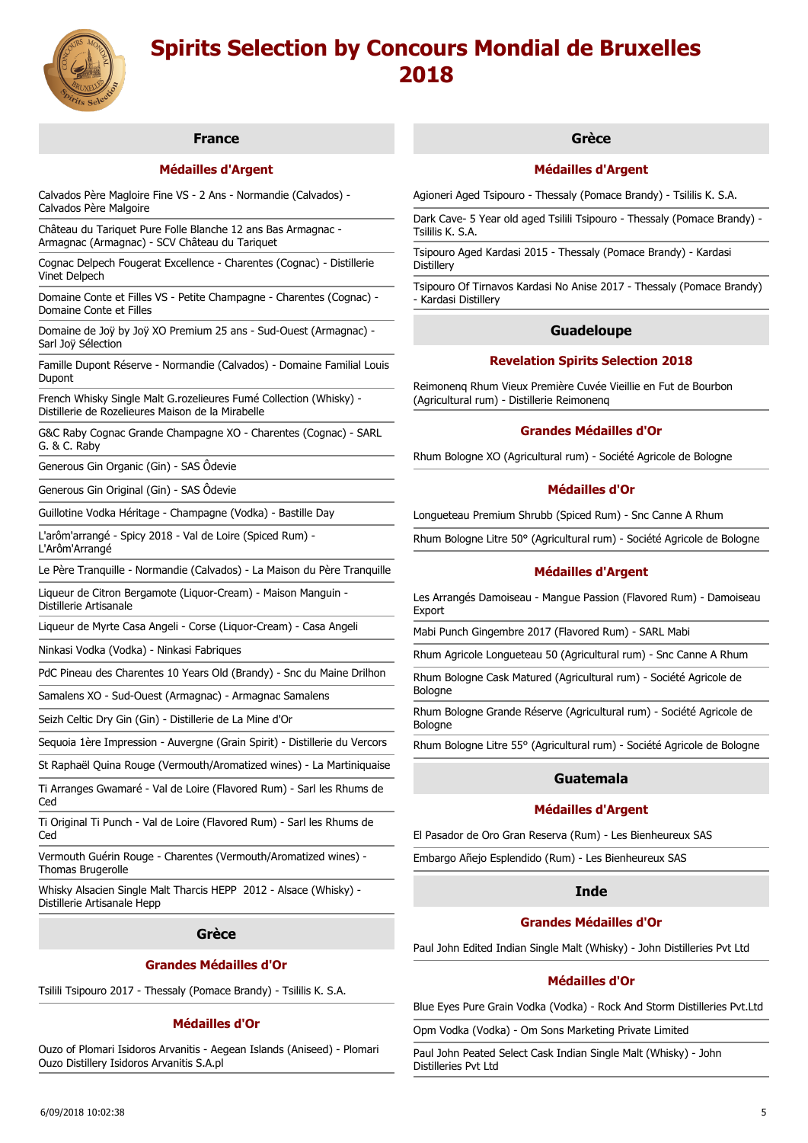

# **France**

# **Médailles d'Argent**

Calvados Père Magloire Fine VS - 2 Ans - Normandie (Calvados) - Calvados Père Malgoire

Château du Tariquet Pure Folle Blanche 12 ans Bas Armagnac - Armagnac (Armagnac) - SCV Château du Tariquet

Cognac Delpech Fougerat Excellence - Charentes (Cognac) - Distillerie Vinet Delpech

Domaine Conte et Filles VS - Petite Champagne - Charentes (Cognac) - Domaine Conte et Filles

Domaine de Joÿ by Joÿ XO Premium 25 ans - Sud-Ouest (Armagnac) - Sarl Joÿ Sélection

Famille Dupont Réserve - Normandie (Calvados) - Domaine Familial Louis Dupont

French Whisky Single Malt G.rozelieures Fumé Collection (Whisky) - Distillerie de Rozelieures Maison de la Mirabelle

G&C Raby Cognac Grande Champagne XO - Charentes (Cognac) - SARL G. & C. Raby

Generous Gin Organic (Gin) - SAS Ôdevie

Generous Gin Original (Gin) - SAS Ôdevie

Guillotine Vodka Héritage - Champagne (Vodka) - Bastille Day

L'arôm'arrangé - Spicy 2018 - Val de Loire (Spiced Rum) - L'Arôm'Arrangé

Le Père Tranquille - Normandie (Calvados) - La Maison du Père Tranquille

Liqueur de Citron Bergamote (Liquor-Cream) - Maison Manguin -

Distillerie Artisanale

Liqueur de Myrte Casa Angeli - Corse (Liquor-Cream) - Casa Angeli

Ninkasi Vodka (Vodka) - Ninkasi Fabriques

PdC Pineau des Charentes 10 Years Old (Brandy) - Snc du Maine Drilhon

Samalens XO - Sud-Ouest (Armagnac) - Armagnac Samalens

Seizh Celtic Dry Gin (Gin) - Distillerie de La Mine d'Or

Sequoia 1ère Impression - Auvergne (Grain Spirit) - Distillerie du Vercors

St Raphaël Quina Rouge (Vermouth/Aromatized wines) - La Martiniquaise

Ti Arranges Gwamaré - Val de Loire (Flavored Rum) - Sarl les Rhums de Ced

Ti Original Ti Punch - Val de Loire (Flavored Rum) - Sarl les Rhums de Ced

Vermouth Guérin Rouge - Charentes (Vermouth/Aromatized wines) - Thomas Brugerolle

Whisky Alsacien Single Malt Tharcis HEPP 2012 - Alsace (Whisky) - Distillerie Artisanale Hepp

#### **Grèce**

### **Grandes Médailles d'Or**

Tsilili Tsipouro 2017 - Thessaly (Pomace Brandy) - Tsililis K. S.A.

## **Médailles d'Or**

Ouzo of Plomari Isidoros Arvanitis - Aegean Islands (Aniseed) - Plomari Ouzo Distillery Isidoros Arvanitis S.A.pl

## **Grèce**

## **Médailles d'Argent**

Agioneri Aged Tsipouro - Thessaly (Pomace Brandy) - Tsililis K. S.A.

Dark Cave- 5 Year old aged Tsilili Tsipouro - Thessaly (Pomace Brandy) - Tsililis K. S.A.

Tsipouro Aged Kardasi 2015 - Thessaly (Pomace Brandy) - Kardasi **Distillery** 

Tsipouro Of Tirnavos Kardasi No Anise 2017 - Thessaly (Pomace Brandy) - Kardasi Distillery

### **Guadeloupe**

## **Revelation Spirits Selection 2018**

Reimonenq Rhum Vieux Première Cuvée Vieillie en Fut de Bourbon (Agricultural rum) - Distillerie Reimonenq

### **Grandes Médailles d'Or**

Rhum Bologne XO (Agricultural rum) - Société Agricole de Bologne

## **Médailles d'Or**

Longueteau Premium Shrubb (Spiced Rum) - Snc Canne A Rhum

Rhum Bologne Litre 50° (Agricultural rum) - Société Agricole de Bologne

### **Médailles d'Argent**

Les Arrangés Damoiseau - Mangue Passion (Flavored Rum) - Damoiseau Export

Mabi Punch Gingembre 2017 (Flavored Rum) - SARL Mabi

Rhum Agricole Longueteau 50 (Agricultural rum) - Snc Canne A Rhum

Rhum Bologne Cask Matured (Agricultural rum) - Société Agricole de Bologne

Rhum Bologne Grande Réserve (Agricultural rum) - Société Agricole de Bologne

Rhum Bologne Litre 55° (Agricultural rum) - Société Agricole de Bologne

# **Guatemala**

## **Médailles d'Argent**

El Pasador de Oro Gran Reserva (Rum) - Les Bienheureux SAS

Embargo Añejo Esplendido (Rum) - Les Bienheureux SAS

## **Inde**

#### **Grandes Médailles d'Or**

Paul John Edited Indian Single Malt (Whisky) - John Distilleries Pvt Ltd

## **Médailles d'Or**

Blue Eyes Pure Grain Vodka (Vodka) - Rock And Storm Distilleries Pvt.Ltd

Opm Vodka (Vodka) - Om Sons Marketing Private Limited

Paul John Peated Select Cask Indian Single Malt (Whisky) - John Distilleries Pvt Ltd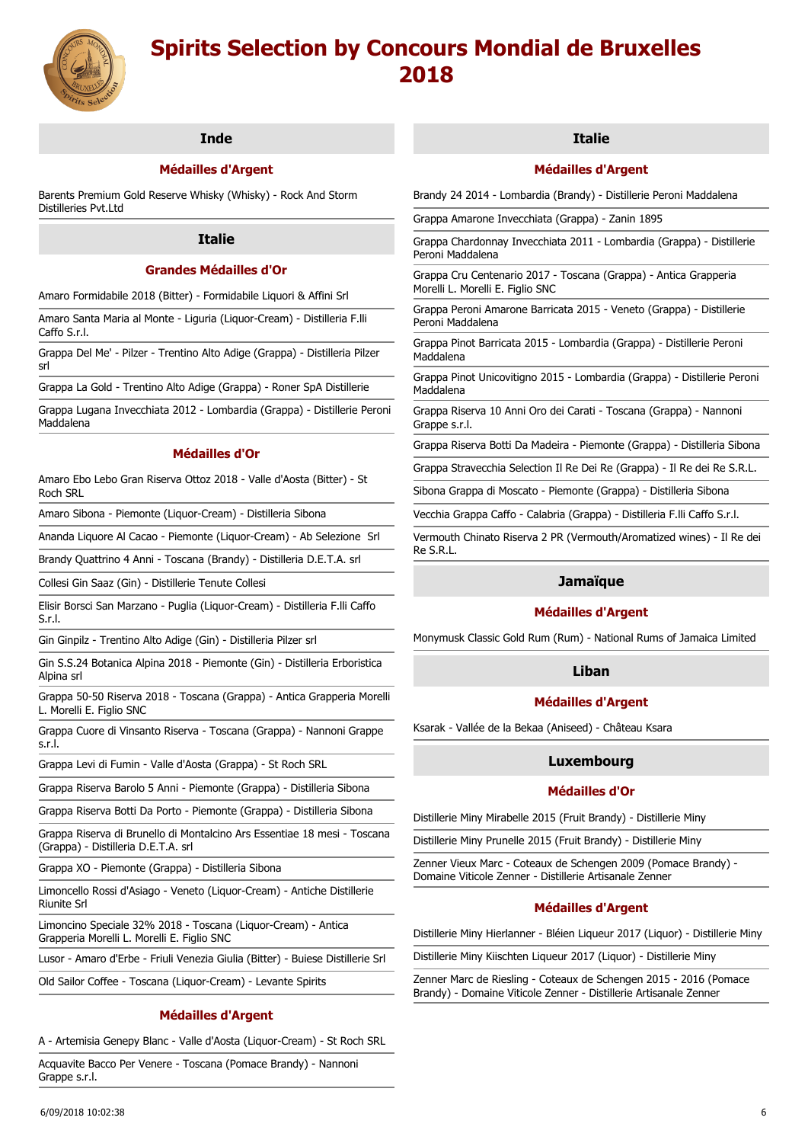

# **Inde**

# **Médailles d'Argent**

Barents Premium Gold Reserve Whisky (Whisky) - Rock And Storm Distilleries Pvt.Ltd

## **Italie**

# **Grandes Médailles d'Or**

Amaro Formidabile 2018 (Bitter) - Formidabile Liquori & Affini Srl

Amaro Santa Maria al Monte - Liguria (Liquor-Cream) - Distilleria F.lli Caffo S.r.l.

Grappa Del Me' - Pilzer - Trentino Alto Adige (Grappa) - Distilleria Pilzer srl

Grappa La Gold - Trentino Alto Adige (Grappa) - Roner SpA Distillerie

Grappa Lugana Invecchiata 2012 - Lombardia (Grappa) - Distillerie Peroni Maddalena

## **Médailles d'Or**

Amaro Ebo Lebo Gran Riserva Ottoz 2018 - Valle d'Aosta (Bitter) - St Roch SRL

Amaro Sibona - Piemonte (Liquor-Cream) - Distilleria Sibona

Ananda Liquore Al Cacao - Piemonte (Liquor-Cream) - Ab Selezione Srl

Brandy Quattrino 4 Anni - Toscana (Brandy) - Distilleria D.E.T.A. srl

Collesi Gin Saaz (Gin) - Distillerie Tenute Collesi

Elisir Borsci San Marzano - Puglia (Liquor-Cream) - Distilleria F.lli Caffo S.r.l.

Gin Ginpilz - Trentino Alto Adige (Gin) - Distilleria Pilzer srl

Gin S.S.24 Botanica Alpina 2018 - Piemonte (Gin) - Distilleria Erboristica Alpina srl

Grappa 50-50 Riserva 2018 - Toscana (Grappa) - Antica Grapperia Morelli L. Morelli E. Figlio SNC

Grappa Cuore di Vinsanto Riserva - Toscana (Grappa) - Nannoni Grappe s.r.l.

Grappa Levi di Fumin - Valle d'Aosta (Grappa) - St Roch SRL

Grappa Riserva Barolo 5 Anni - Piemonte (Grappa) - Distilleria Sibona

Grappa Riserva Botti Da Porto - Piemonte (Grappa) - Distilleria Sibona

Grappa Riserva di Brunello di Montalcino Ars Essentiae 18 mesi - Toscana (Grappa) - Distilleria D.E.T.A. srl

Grappa XO - Piemonte (Grappa) - Distilleria Sibona

Limoncello Rossi d'Asiago - Veneto (Liquor-Cream) - Antiche Distillerie Riunite Srl

Limoncino Speciale 32% 2018 - Toscana (Liquor-Cream) - Antica Grapperia Morelli L. Morelli E. Figlio SNC

Lusor - Amaro d'Erbe - Friuli Venezia Giulia (Bitter) - Buiese Distillerie Srl

Old Sailor Coffee - Toscana (Liquor-Cream) - Levante Spirits

# **Médailles d'Argent**

A - Artemisia Genepy Blanc - Valle d'Aosta (Liquor-Cream) - St Roch SRL

Acquavite Bacco Per Venere - Toscana (Pomace Brandy) - Nannoni Grappe s.r.l.

## **Italie**

## **Médailles d'Argent**

Brandy 24 2014 - Lombardia (Brandy) - Distillerie Peroni Maddalena

Grappa Amarone Invecchiata (Grappa) - Zanin 1895

Grappa Chardonnay Invecchiata 2011 - Lombardia (Grappa) - Distillerie Peroni Maddalena

Grappa Cru Centenario 2017 - Toscana (Grappa) - Antica Grapperia Morelli L. Morelli E. Figlio SNC

Grappa Peroni Amarone Barricata 2015 - Veneto (Grappa) - Distillerie Peroni Maddalena

Grappa Pinot Barricata 2015 - Lombardia (Grappa) - Distillerie Peroni Maddalena

Grappa Pinot Unicovitigno 2015 - Lombardia (Grappa) - Distillerie Peroni Maddalena

Grappa Riserva 10 Anni Oro dei Carati - Toscana (Grappa) - Nannoni Grappe s.r.l.

Grappa Riserva Botti Da Madeira - Piemonte (Grappa) - Distilleria Sibona

Grappa Stravecchia Selection Il Re Dei Re (Grappa) - Il Re dei Re S.R.L.

Sibona Grappa di Moscato - Piemonte (Grappa) - Distilleria Sibona

Vecchia Grappa Caffo - Calabria (Grappa) - Distilleria F.lli Caffo S.r.l.

Vermouth Chinato Riserva 2 PR (Vermouth/Aromatized wines) - Il Re dei Re S.R.L.

## **Jamaïque**

## **Médailles d'Argent**

Monymusk Classic Gold Rum (Rum) - National Rums of Jamaica Limited

# **Liban**

## **Médailles d'Argent**

Ksarak - Vallée de la Bekaa (Aniseed) - Château Ksara

# **Luxembourg**

## **Médailles d'Or**

Distillerie Miny Mirabelle 2015 (Fruit Brandy) - Distillerie Miny

Distillerie Miny Prunelle 2015 (Fruit Brandy) - Distillerie Miny

Zenner Vieux Marc - Coteaux de Schengen 2009 (Pomace Brandy) - Domaine Viticole Zenner - Distillerie Artisanale Zenner

## **Médailles d'Argent**

Distillerie Miny Hierlanner - Bléien Liqueur 2017 (Liquor) - Distillerie Miny

Distillerie Miny Kiischten Liqueur 2017 (Liquor) - Distillerie Miny

Zenner Marc de Riesling - Coteaux de Schengen 2015 - 2016 (Pomace Brandy) - Domaine Viticole Zenner - Distillerie Artisanale Zenner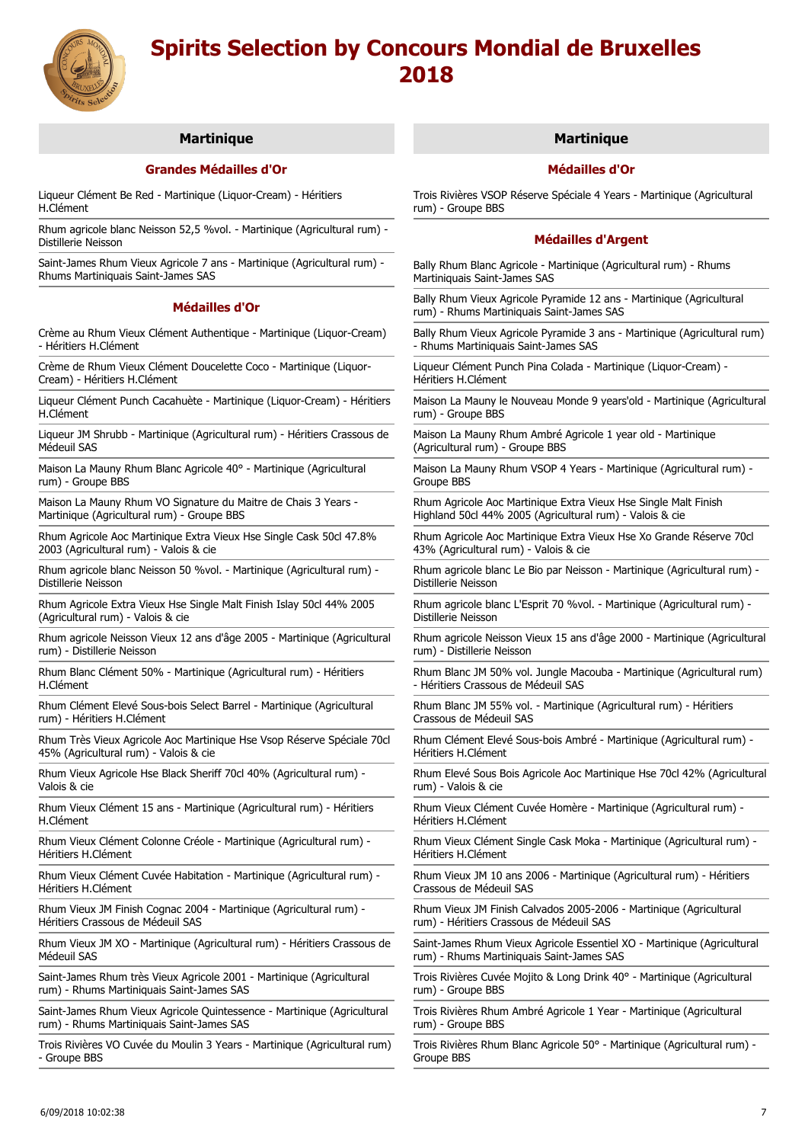

# **Martinique**

# **Grandes Médailles d'Or**

Liqueur Clément Be Red - Martinique (Liquor-Cream) - Héritiers H.Clément

Rhum agricole blanc Neisson 52,5 %vol. - Martinique (Agricultural rum) - Distillerie Neisson

Saint-James Rhum Vieux Agricole 7 ans - Martinique (Agricultural rum) - Rhums Martiniquais Saint-James SAS

### **Médailles d'Or**

Crème au Rhum Vieux Clément Authentique - Martinique (Liquor-Cream) - Héritiers H.Clément

Crème de Rhum Vieux Clément Doucelette Coco - Martinique (Liquor-Cream) - Héritiers H.Clément

Liqueur Clément Punch Cacahuète - Martinique (Liquor-Cream) - Héritiers H.Clément

Liqueur JM Shrubb - Martinique (Agricultural rum) - Héritiers Crassous de Médeuil SAS

Maison La Mauny Rhum Blanc Agricole 40° - Martinique (Agricultural rum) - Groupe BBS

Maison La Mauny Rhum VO Signature du Maitre de Chais 3 Years - Martinique (Agricultural rum) - Groupe BBS

Rhum Agricole Aoc Martinique Extra Vieux Hse Single Cask 50cl 47.8% 2003 (Agricultural rum) - Valois & cie

Rhum agricole blanc Neisson 50 %vol. - Martinique (Agricultural rum) - Distillerie Neisson

Rhum Agricole Extra Vieux Hse Single Malt Finish Islay 50cl 44% 2005 (Agricultural rum) - Valois & cie

Rhum agricole Neisson Vieux 12 ans d'âge 2005 - Martinique (Agricultural rum) - Distillerie Neisson

Rhum Blanc Clément 50% - Martinique (Agricultural rum) - Héritiers H.Clément

Rhum Clément Elevé Sous-bois Select Barrel - Martinique (Agricultural rum) - Héritiers H.Clément

Rhum Très Vieux Agricole Aoc Martinique Hse Vsop Réserve Spéciale 70cl 45% (Agricultural rum) - Valois & cie

Rhum Vieux Agricole Hse Black Sheriff 70cl 40% (Agricultural rum) - Valois & cie

Rhum Vieux Clément 15 ans - Martinique (Agricultural rum) - Héritiers H.Clément

Rhum Vieux Clément Colonne Créole - Martinique (Agricultural rum) - Héritiers H.Clément

Rhum Vieux Clément Cuvée Habitation - Martinique (Agricultural rum) - Héritiers H.Clément

Rhum Vieux JM Finish Cognac 2004 - Martinique (Agricultural rum) - Héritiers Crassous de Médeuil SAS

Rhum Vieux JM XO - Martinique (Agricultural rum) - Héritiers Crassous de Médeuil SAS

Saint-James Rhum très Vieux Agricole 2001 - Martinique (Agricultural rum) - Rhums Martiniquais Saint-James SAS

Saint-James Rhum Vieux Agricole Quintessence - Martinique (Agricultural rum) - Rhums Martiniquais Saint-James SAS

Trois Rivières VO Cuvée du Moulin 3 Years - Martinique (Agricultural rum) - Groupe BBS

## **Martinique**

## **Médailles d'Or**

Trois Rivières VSOP Réserve Spéciale 4 Years - Martinique (Agricultural rum) - Groupe BBS

## **Médailles d'Argent**

Bally Rhum Blanc Agricole - Martinique (Agricultural rum) - Rhums Martiniquais Saint-James SAS

Bally Rhum Vieux Agricole Pyramide 12 ans - Martinique (Agricultural rum) - Rhums Martiniquais Saint-James SAS

Bally Rhum Vieux Agricole Pyramide 3 ans - Martinique (Agricultural rum) - Rhums Martiniquais Saint-James SAS

Liqueur Clément Punch Pina Colada - Martinique (Liquor-Cream) - Héritiers H.Clément

Maison La Mauny le Nouveau Monde 9 years'old - Martinique (Agricultural rum) - Groupe BBS

Maison La Mauny Rhum Ambré Agricole 1 year old - Martinique (Agricultural rum) - Groupe BBS

Maison La Mauny Rhum VSOP 4 Years - Martinique (Agricultural rum) - Groupe BBS

Rhum Agricole Aoc Martinique Extra Vieux Hse Single Malt Finish Highland 50cl 44% 2005 (Agricultural rum) - Valois & cie

Rhum Agricole Aoc Martinique Extra Vieux Hse Xo Grande Réserve 70cl 43% (Agricultural rum) - Valois & cie

Rhum agricole blanc Le Bio par Neisson - Martinique (Agricultural rum) - Distillerie Neisson

Rhum agricole blanc L'Esprit 70 %vol. - Martinique (Agricultural rum) - Distillerie Neisson

Rhum agricole Neisson Vieux 15 ans d'âge 2000 - Martinique (Agricultural rum) - Distillerie Neisson

Rhum Blanc JM 50% vol. Jungle Macouba - Martinique (Agricultural rum) - Héritiers Crassous de Médeuil SAS

Rhum Blanc JM 55% vol. - Martinique (Agricultural rum) - Héritiers Crassous de Médeuil SAS

Rhum Clément Elevé Sous-bois Ambré - Martinique (Agricultural rum) - Héritiers H.Clément

Rhum Elevé Sous Bois Agricole Aoc Martinique Hse 70cl 42% (Agricultural rum) - Valois & cie

Rhum Vieux Clément Cuvée Homère - Martinique (Agricultural rum) - Héritiers H.Clément

Rhum Vieux Clément Single Cask Moka - Martinique (Agricultural rum) - Héritiers H.Clément

Rhum Vieux JM 10 ans 2006 - Martinique (Agricultural rum) - Héritiers Crassous de Médeuil SAS

Rhum Vieux JM Finish Calvados 2005-2006 - Martinique (Agricultural rum) - Héritiers Crassous de Médeuil SAS

Saint-James Rhum Vieux Agricole Essentiel XO - Martinique (Agricultural rum) - Rhums Martiniquais Saint-James SAS

Trois Rivières Cuvée Mojito & Long Drink 40° - Martinique (Agricultural rum) - Groupe BBS

Trois Rivières Rhum Ambré Agricole 1 Year - Martinique (Agricultural rum) - Groupe BBS

Trois Rivières Rhum Blanc Agricole 50° - Martinique (Agricultural rum) - Groupe BBS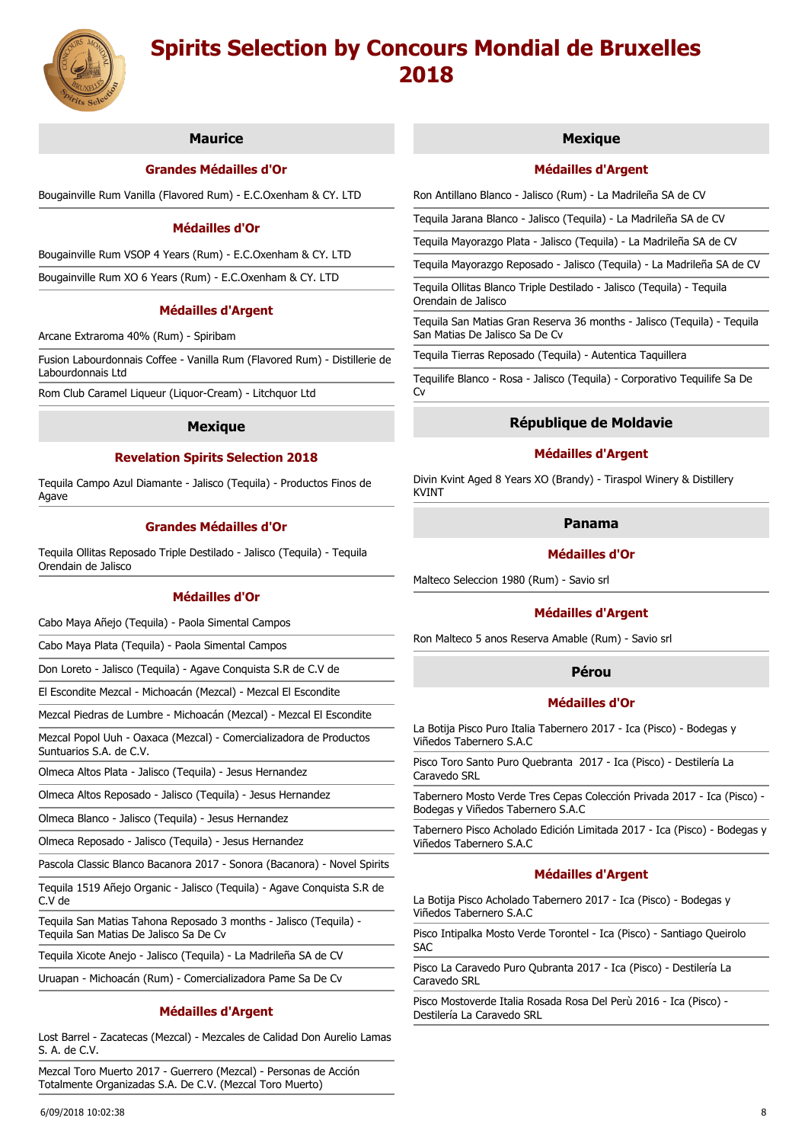

# **Maurice**

## **Grandes Médailles d'Or**

Bougainville Rum Vanilla (Flavored Rum) - E.C.Oxenham & CY. LTD

## **Médailles d'Or**

Bougainville Rum VSOP 4 Years (Rum) - E.C.Oxenham & CY. LTD

Bougainville Rum XO 6 Years (Rum) - E.C.Oxenham & CY. LTD

#### **Médailles d'Argent**

Arcane Extraroma 40% (Rum) - Spiribam

Fusion Labourdonnais Coffee - Vanilla Rum (Flavored Rum) - Distillerie de Labourdonnais Ltd

Rom Club Caramel Liqueur (Liquor-Cream) - Litchquor Ltd

## **Mexique**

# **Revelation Spirits Selection 2018**

Tequila Campo Azul Diamante - Jalisco (Tequila) - Productos Finos de Agave

## **Grandes Médailles d'Or**

Tequila Ollitas Reposado Triple Destilado - Jalisco (Tequila) - Tequila Orendain de Jalisco

#### **Médailles d'Or**

Cabo Maya Añejo (Tequila) - Paola Simental Campos

Cabo Maya Plata (Tequila) - Paola Simental Campos

Don Loreto - Jalisco (Tequila) - Agave Conquista S.R de C.V de

El Escondite Mezcal - Michoacán (Mezcal) - Mezcal El Escondite

Mezcal Piedras de Lumbre - Michoacán (Mezcal) - Mezcal El Escondite

Mezcal Popol Uuh - Oaxaca (Mezcal) - Comercializadora de Productos Suntuarios S.A. de C.V.

Olmeca Altos Plata - Jalisco (Tequila) - Jesus Hernandez

Olmeca Altos Reposado - Jalisco (Tequila) - Jesus Hernandez

Olmeca Blanco - Jalisco (Tequila) - Jesus Hernandez

Olmeca Reposado - Jalisco (Tequila) - Jesus Hernandez

Pascola Classic Blanco Bacanora 2017 - Sonora (Bacanora) - Novel Spirits

Tequila 1519 Añejo Organic - Jalisco (Tequila) - Agave Conquista S.R de C.V de

Tequila San Matias Tahona Reposado 3 months - Jalisco (Tequila) - Tequila San Matias De Jalisco Sa De Cv

Tequila Xicote Anejo - Jalisco (Tequila) - La Madrileña SA de CV

Uruapan - Michoacán (Rum) - Comercializadora Pame Sa De Cv

# **Médailles d'Argent**

Lost Barrel - Zacatecas (Mezcal) - Mezcales de Calidad Don Aurelio Lamas S. A. de C.V.

Mezcal Toro Muerto 2017 - Guerrero (Mezcal) - Personas de Acción Totalmente Organizadas S.A. De C.V. (Mezcal Toro Muerto)

### **Mexique**

## **Médailles d'Argent**

Ron Antillano Blanco - Jalisco (Rum) - La Madrileña SA de CV

Tequila Jarana Blanco - Jalisco (Tequila) - La Madrileña SA de CV

Tequila Mayorazgo Plata - Jalisco (Tequila) - La Madrileña SA de CV

Tequila Mayorazgo Reposado - Jalisco (Tequila) - La Madrileña SA de CV

Tequila Ollitas Blanco Triple Destilado - Jalisco (Tequila) - Tequila Orendain de Jalisco

Tequila San Matias Gran Reserva 36 months - Jalisco (Tequila) - Tequila San Matias De Jalisco Sa De Cv

Tequila Tierras Reposado (Tequila) - Autentica Taquillera

Tequilife Blanco - Rosa - Jalisco (Tequila) - Corporativo Tequilife Sa De Cv

## **République de Moldavie**

## **Médailles d'Argent**

Divin Kvint Aged 8 Years XO (Brandy) - Tiraspol Winery & Distillery KVINT

# **Panama**

### **Médailles d'Or**

Malteco Seleccion 1980 (Rum) - Savio srl

#### **Médailles d'Argent**

Ron Malteco 5 anos Reserva Amable (Rum) - Savio srl

# **Pérou**

## **Médailles d'Or**

La Botija Pisco Puro Italia Tabernero 2017 - Ica (Pisco) - Bodegas y Viñedos Tabernero S.A.C

Pisco Toro Santo Puro Quebranta 2017 - Ica (Pisco) - Destilería La Caravedo SRL

Tabernero Mosto Verde Tres Cepas Colección Privada 2017 - Ica (Pisco) - Bodegas y Viñedos Tabernero S.A.C

Tabernero Pisco Acholado Edición Limitada 2017 - Ica (Pisco) - Bodegas y Viñedos Tabernero S.A.C

#### **Médailles d'Argent**

La Botija Pisco Acholado Tabernero 2017 - Ica (Pisco) - Bodegas y Viñedos Tabernero S.A.C

Pisco Intipalka Mosto Verde Torontel - Ica (Pisco) - Santiago Queirolo SAC

Pisco La Caravedo Puro Qubranta 2017 - Ica (Pisco) - Destilería La Caravedo SRL

Pisco Mostoverde Italia Rosada Rosa Del Perù 2016 - Ica (Pisco) - Destilería La Caravedo SRL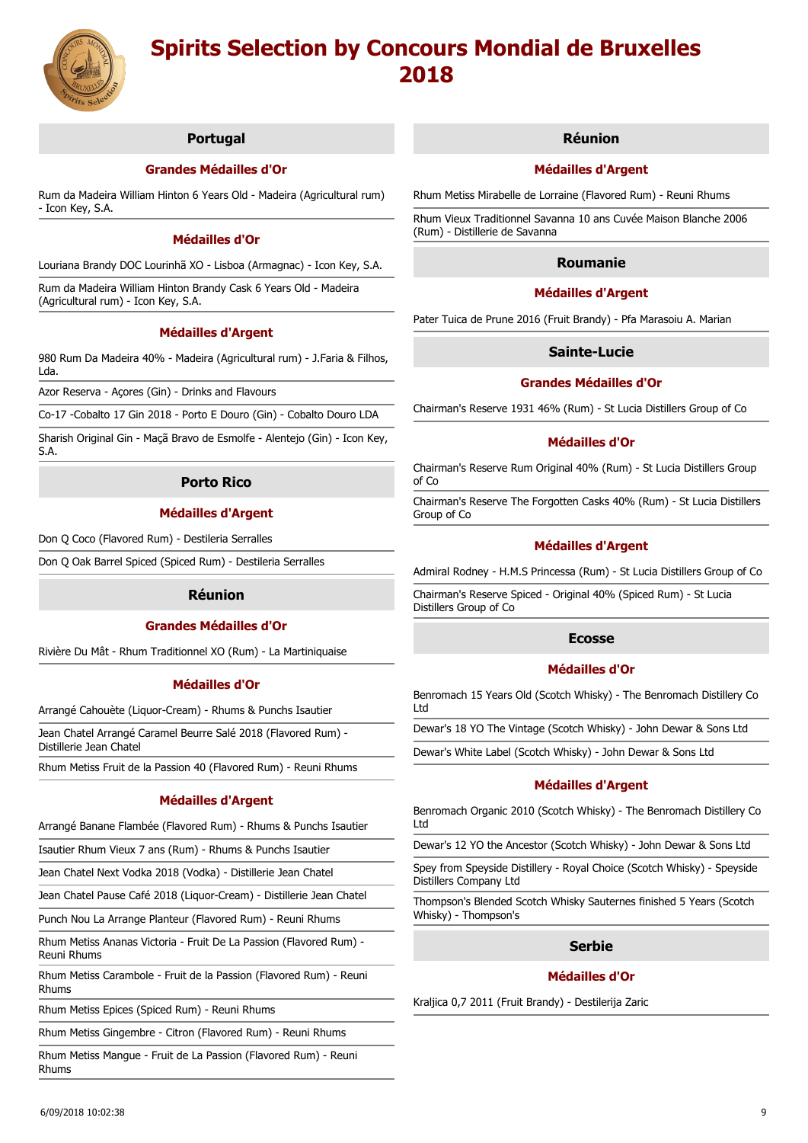

# **Portugal**

# **Grandes Médailles d'Or**

Rum da Madeira William Hinton 6 Years Old - Madeira (Agricultural rum) - Icon Key, S.A.

## **Médailles d'Or**

Louriana Brandy DOC Lourinhã XO - Lisboa (Armagnac) - Icon Key, S.A.

Rum da Madeira William Hinton Brandy Cask 6 Years Old - Madeira (Agricultural rum) - Icon Key, S.A.

# **Médailles d'Argent**

980 Rum Da Madeira 40% - Madeira (Agricultural rum) - J.Faria & Filhos, Lda.

Azor Reserva - Açores (Gin) - Drinks and Flavours

Co-17 -Cobalto 17 Gin 2018 - Porto E Douro (Gin) - Cobalto Douro LDA

Sharish Original Gin - Maçã Bravo de Esmolfe - Alentejo (Gin) - Icon Key, S.A.

## **Porto Rico**

## **Médailles d'Argent**

Don Q Coco (Flavored Rum) - Destileria Serralles

Don Q Oak Barrel Spiced (Spiced Rum) - Destileria Serralles

### **Réunion**

### **Grandes Médailles d'Or**

Rivière Du Mât - Rhum Traditionnel XO (Rum) - La Martiniquaise

## **Médailles d'Or**

Arrangé Cahouète (Liquor-Cream) - Rhums & Punchs Isautier

Jean Chatel Arrangé Caramel Beurre Salé 2018 (Flavored Rum) - Distillerie Jean Chatel

Rhum Metiss Fruit de la Passion 40 (Flavored Rum) - Reuni Rhums

## **Médailles d'Argent**

Arrangé Banane Flambée (Flavored Rum) - Rhums & Punchs Isautier

Isautier Rhum Vieux 7 ans (Rum) - Rhums & Punchs Isautier

Jean Chatel Next Vodka 2018 (Vodka) - Distillerie Jean Chatel

Jean Chatel Pause Café 2018 (Liquor-Cream) - Distillerie Jean Chatel

Punch Nou La Arrange Planteur (Flavored Rum) - Reuni Rhums

Rhum Metiss Ananas Victoria - Fruit De La Passion (Flavored Rum) - Reuni Rhums

Rhum Metiss Carambole - Fruit de la Passion (Flavored Rum) - Reuni Rhums

Rhum Metiss Epices (Spiced Rum) - Reuni Rhums

Rhum Metiss Gingembre - Citron (Flavored Rum) - Reuni Rhums

Rhum Metiss Mangue - Fruit de La Passion (Flavored Rum) - Reuni Rhums

#### **Réunion**

## **Médailles d'Argent**

Rhum Metiss Mirabelle de Lorraine (Flavored Rum) - Reuni Rhums

Rhum Vieux Traditionnel Savanna 10 ans Cuvée Maison Blanche 2006 (Rum) - Distillerie de Savanna

## **Roumanie**

# **Médailles d'Argent**

Pater Tuica de Prune 2016 (Fruit Brandy) - Pfa Marasoiu A. Marian

## **Sainte-Lucie**

## **Grandes Médailles d'Or**

Chairman's Reserve 1931 46% (Rum) - St Lucia Distillers Group of Co

#### **Médailles d'Or**

Chairman's Reserve Rum Original 40% (Rum) - St Lucia Distillers Group of Co

Chairman's Reserve The Forgotten Casks 40% (Rum) - St Lucia Distillers Group of Co

## **Médailles d'Argent**

Admiral Rodney - H.M.S Princessa (Rum) - St Lucia Distillers Group of Co

Chairman's Reserve Spiced - Original 40% (Spiced Rum) - St Lucia Distillers Group of Co

#### **Ecosse**

#### **Médailles d'Or**

Benromach 15 Years Old (Scotch Whisky) - The Benromach Distillery Co Ltd

Dewar's 18 YO The Vintage (Scotch Whisky) - John Dewar & Sons Ltd

Dewar's White Label (Scotch Whisky) - John Dewar & Sons Ltd

### **Médailles d'Argent**

Benromach Organic 2010 (Scotch Whisky) - The Benromach Distillery Co Ltd

Dewar's 12 YO the Ancestor (Scotch Whisky) - John Dewar & Sons Ltd

Spey from Speyside Distillery - Royal Choice (Scotch Whisky) - Speyside Distillers Company Ltd

Thompson's Blended Scotch Whisky Sauternes finished 5 Years (Scotch Whisky) - Thompson's

# **Serbie**

### **Médailles d'Or**

Kraljica 0,7 2011 (Fruit Brandy) - Destilerija Zaric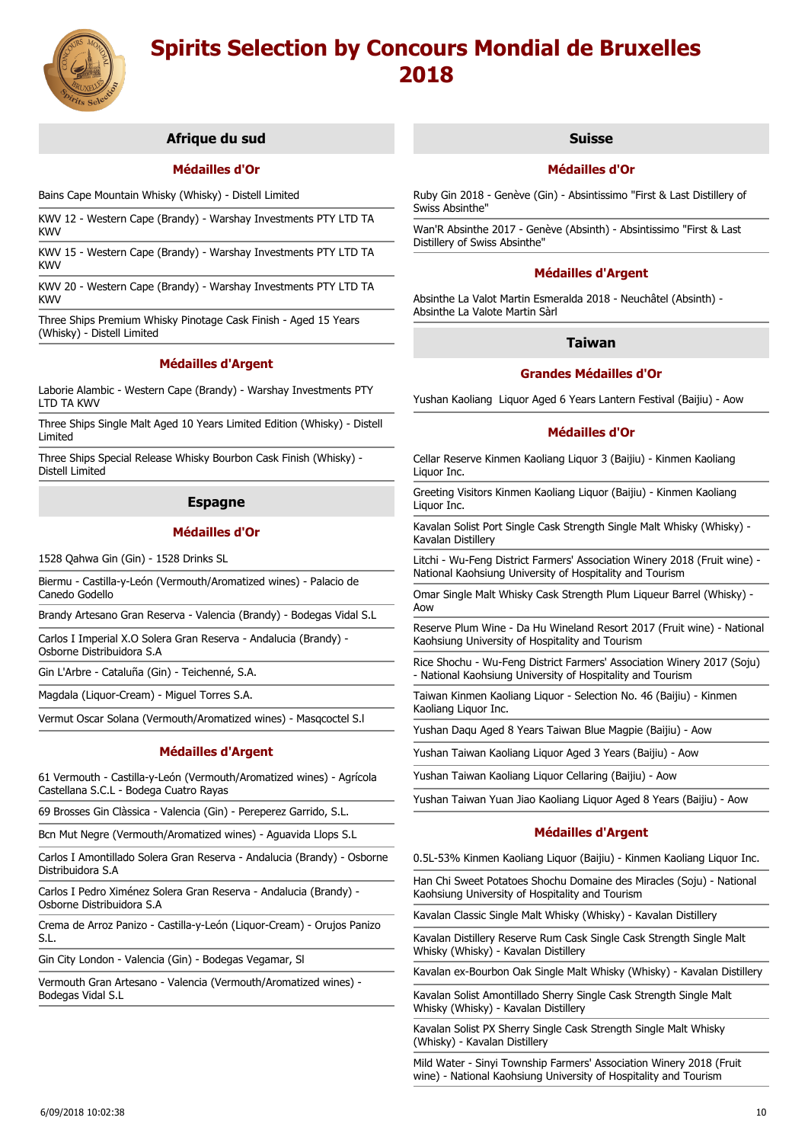

# **Afrique du sud**

## **Médailles d'Or**

Bains Cape Mountain Whisky (Whisky) - Distell Limited

KWV 12 - Western Cape (Brandy) - Warshay Investments PTY LTD TA KWV

KWV 15 - Western Cape (Brandy) - Warshay Investments PTY LTD TA KWV

KWV 20 - Western Cape (Brandy) - Warshay Investments PTY LTD TA KWV

Three Ships Premium Whisky Pinotage Cask Finish - Aged 15 Years (Whisky) - Distell Limited

## **Médailles d'Argent**

Laborie Alambic - Western Cape (Brandy) - Warshay Investments PTY LTD TA KWV

Three Ships Single Malt Aged 10 Years Limited Edition (Whisky) - Distell Limited

Three Ships Special Release Whisky Bourbon Cask Finish (Whisky) - Distell Limited

## **Espagne**

## **Médailles d'Or**

1528 Qahwa Gin (Gin) - 1528 Drinks SL

Biermu - Castilla-y-León (Vermouth/Aromatized wines) - Palacio de Canedo Godello

Brandy Artesano Gran Reserva - Valencia (Brandy) - Bodegas Vidal S.L

Carlos I Imperial X.O Solera Gran Reserva - Andalucia (Brandy) - Osborne Distribuidora S.A

Gin L'Arbre - Cataluña (Gin) - Teichenné, S.A.

Magdala (Liquor-Cream) - Miguel Torres S.A.

Vermut Oscar Solana (Vermouth/Aromatized wines) - Masqcoctel S.l

# **Médailles d'Argent**

61 Vermouth - Castilla-y-León (Vermouth/Aromatized wines) - Agrícola Castellana S.C.L - Bodega Cuatro Rayas

69 Brosses Gin Clàssica - Valencia (Gin) - Pereperez Garrido, S.L.

Bcn Mut Negre (Vermouth/Aromatized wines) - Aguavida Llops S.L

Carlos I Amontillado Solera Gran Reserva - Andalucia (Brandy) - Osborne Distribuidora S.A

Carlos I Pedro Ximénez Solera Gran Reserva - Andalucia (Brandy) - Osborne Distribuidora S.A

Crema de Arroz Panizo - Castilla-y-León (Liquor-Cream) - Orujos Panizo S.L.

Gin City London - Valencia (Gin) - Bodegas Vegamar, Sl

Vermouth Gran Artesano - Valencia (Vermouth/Aromatized wines) - Bodegas Vidal S.L

## **Suisse**

## **Médailles d'Or**

Ruby Gin 2018 - Genève (Gin) - Absintissimo "First & Last Distillery of Swiss Absinthe"

Wan'R Absinthe 2017 - Genève (Absinth) - Absintissimo "First & Last Distillery of Swiss Absinthe"

## **Médailles d'Argent**

Absinthe La Valot Martin Esmeralda 2018 - Neuchâtel (Absinth) - Absinthe La Valote Martin Sàrl

# **Taiwan**

### **Grandes Médailles d'Or**

Yushan Kaoliang Liquor Aged 6 Years Lantern Festival (Baijiu) - Aow

### **Médailles d'Or**

Cellar Reserve Kinmen Kaoliang Liquor 3 (Baijiu) - Kinmen Kaoliang Liquor Inc.

Greeting Visitors Kinmen Kaoliang Liquor (Baijiu) - Kinmen Kaoliang Liquor Inc.

Kavalan Solist Port Single Cask Strength Single Malt Whisky (Whisky) - Kavalan Distillery

Litchi - Wu-Feng District Farmers' Association Winery 2018 (Fruit wine) -National Kaohsiung University of Hospitality and Tourism

Omar Single Malt Whisky Cask Strength Plum Liqueur Barrel (Whisky) - Aow

Reserve Plum Wine - Da Hu Wineland Resort 2017 (Fruit wine) - National Kaohsiung University of Hospitality and Tourism

Rice Shochu - Wu-Feng District Farmers' Association Winery 2017 (Soju) - National Kaohsiung University of Hospitality and Tourism

Taiwan Kinmen Kaoliang Liquor - Selection No. 46 (Baijiu) - Kinmen Kaoliang Liquor Inc.

Yushan Daqu Aged 8 Years Taiwan Blue Magpie (Baijiu) - Aow

Yushan Taiwan Kaoliang Liquor Aged 3 Years (Baijiu) - Aow

Yushan Taiwan Kaoliang Liquor Cellaring (Baijiu) - Aow

Yushan Taiwan Yuan Jiao Kaoliang Liquor Aged 8 Years (Baijiu) - Aow

## **Médailles d'Argent**

0.5L-53% Kinmen Kaoliang Liquor (Baijiu) - Kinmen Kaoliang Liquor Inc.

Han Chi Sweet Potatoes Shochu Domaine des Miracles (Soju) - National Kaohsiung University of Hospitality and Tourism

Kavalan Classic Single Malt Whisky (Whisky) - Kavalan Distillery

Kavalan Distillery Reserve Rum Cask Single Cask Strength Single Malt Whisky (Whisky) - Kavalan Distillery

Kavalan ex-Bourbon Oak Single Malt Whisky (Whisky) - Kavalan Distillery

Kavalan Solist Amontillado Sherry Single Cask Strength Single Malt Whisky (Whisky) - Kavalan Distillery

Kavalan Solist PX Sherry Single Cask Strength Single Malt Whisky (Whisky) - Kavalan Distillery

Mild Water - Sinyi Township Farmers' Association Winery 2018 (Fruit wine) - National Kaohsiung University of Hospitality and Tourism